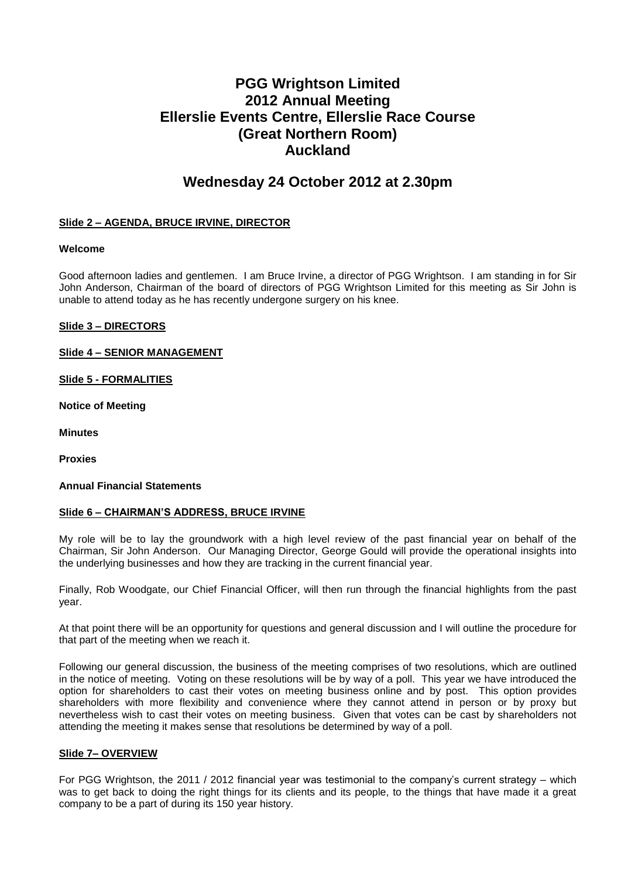# **PGG Wrightson Limited 2012 Annual Meeting Ellerslie Events Centre, Ellerslie Race Course (Great Northern Room) Auckland**

## **Wednesday 24 October 2012 at 2.30pm**

## **Slide 2 – AGENDA, BRUCE IRVINE, DIRECTOR**

## **Welcome**

Good afternoon ladies and gentlemen. I am Bruce Irvine, a director of PGG Wrightson. I am standing in for Sir John Anderson, Chairman of the board of directors of PGG Wrightson Limited for this meeting as Sir John is unable to attend today as he has recently undergone surgery on his knee.

## **Slide 3 – DIRECTORS**

## **Slide 4 – SENIOR MANAGEMENT**

**Slide 5 - FORMALITIES**

**Notice of Meeting**

**Minutes**

**Proxies**

#### **Annual Financial Statements**

## **Slide 6 – CHAIRMAN'S ADDRESS, BRUCE IRVINE**

My role will be to lay the groundwork with a high level review of the past financial year on behalf of the Chairman, Sir John Anderson. Our Managing Director, George Gould will provide the operational insights into the underlying businesses and how they are tracking in the current financial year.

Finally, Rob Woodgate, our Chief Financial Officer, will then run through the financial highlights from the past year.

At that point there will be an opportunity for questions and general discussion and I will outline the procedure for that part of the meeting when we reach it.

Following our general discussion, the business of the meeting comprises of two resolutions, which are outlined in the notice of meeting. Voting on these resolutions will be by way of a poll. This year we have introduced the option for shareholders to cast their votes on meeting business online and by post. This option provides shareholders with more flexibility and convenience where they cannot attend in person or by proxy but nevertheless wish to cast their votes on meeting business. Given that votes can be cast by shareholders not attending the meeting it makes sense that resolutions be determined by way of a poll.

#### **Slide 7– OVERVIEW**

For PGG Wrightson, the 2011 / 2012 financial year was testimonial to the company's current strategy – which was to get back to doing the right things for its clients and its people, to the things that have made it a great company to be a part of during its 150 year history.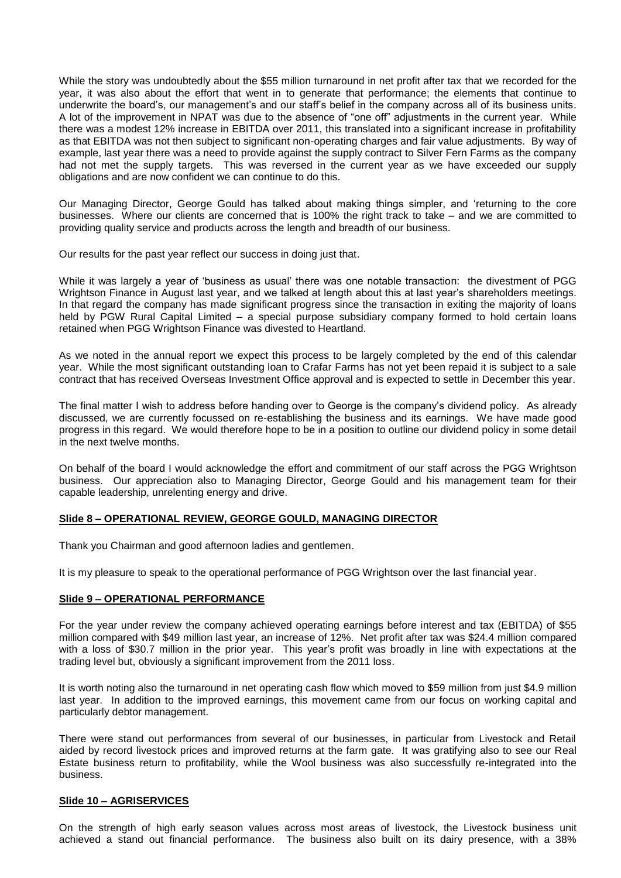While the story was undoubtedly about the \$55 million turnaround in net profit after tax that we recorded for the year, it was also about the effort that went in to generate that performance; the elements that continue to underwrite the board's, our management's and our staff's belief in the company across all of its business units. A lot of the improvement in NPAT was due to the absence of "one off" adjustments in the current year. While there was a modest 12% increase in EBITDA over 2011, this translated into a significant increase in profitability as that EBITDA was not then subject to significant non-operating charges and fair value adjustments. By way of example, last year there was a need to provide against the supply contract to Silver Fern Farms as the company had not met the supply targets. This was reversed in the current year as we have exceeded our supply obligations and are now confident we can continue to do this.

Our Managing Director, George Gould has talked about making things simpler, and 'returning to the core businesses. Where our clients are concerned that is 100% the right track to take – and we are committed to providing quality service and products across the length and breadth of our business.

Our results for the past year reflect our success in doing just that.

While it was largely a year of 'business as usual' there was one notable transaction: the divestment of PGG Wrightson Finance in August last year, and we talked at length about this at last year's shareholders meetings. In that regard the company has made significant progress since the transaction in exiting the majority of loans held by PGW Rural Capital Limited – a special purpose subsidiary company formed to hold certain loans retained when PGG Wrightson Finance was divested to Heartland.

As we noted in the annual report we expect this process to be largely completed by the end of this calendar year. While the most significant outstanding loan to Crafar Farms has not yet been repaid it is subject to a sale contract that has received Overseas Investment Office approval and is expected to settle in December this year.

The final matter I wish to address before handing over to George is the company's dividend policy. As already discussed, we are currently focussed on re-establishing the business and its earnings. We have made good progress in this regard. We would therefore hope to be in a position to outline our dividend policy in some detail in the next twelve months.

On behalf of the board I would acknowledge the effort and commitment of our staff across the PGG Wrightson business. Our appreciation also to Managing Director, George Gould and his management team for their capable leadership, unrelenting energy and drive.

## **Slide 8 – OPERATIONAL REVIEW, GEORGE GOULD, MANAGING DIRECTOR**

Thank you Chairman and good afternoon ladies and gentlemen.

It is my pleasure to speak to the operational performance of PGG Wrightson over the last financial year.

#### **Slide 9 – OPERATIONAL PERFORMANCE**

For the year under review the company achieved operating earnings before interest and tax (EBITDA) of \$55 million compared with \$49 million last year, an increase of 12%. Net profit after tax was \$24.4 million compared with a loss of \$30.7 million in the prior year. This year's profit was broadly in line with expectations at the trading level but, obviously a significant improvement from the 2011 loss.

It is worth noting also the turnaround in net operating cash flow which moved to \$59 million from just \$4.9 million last year. In addition to the improved earnings, this movement came from our focus on working capital and particularly debtor management.

There were stand out performances from several of our businesses, in particular from Livestock and Retail aided by record livestock prices and improved returns at the farm gate. It was gratifying also to see our Real Estate business return to profitability, while the Wool business was also successfully re-integrated into the business.

#### **Slide 10 – AGRISERVICES**

On the strength of high early season values across most areas of livestock, the Livestock business unit achieved a stand out financial performance. The business also built on its dairy presence, with a 38%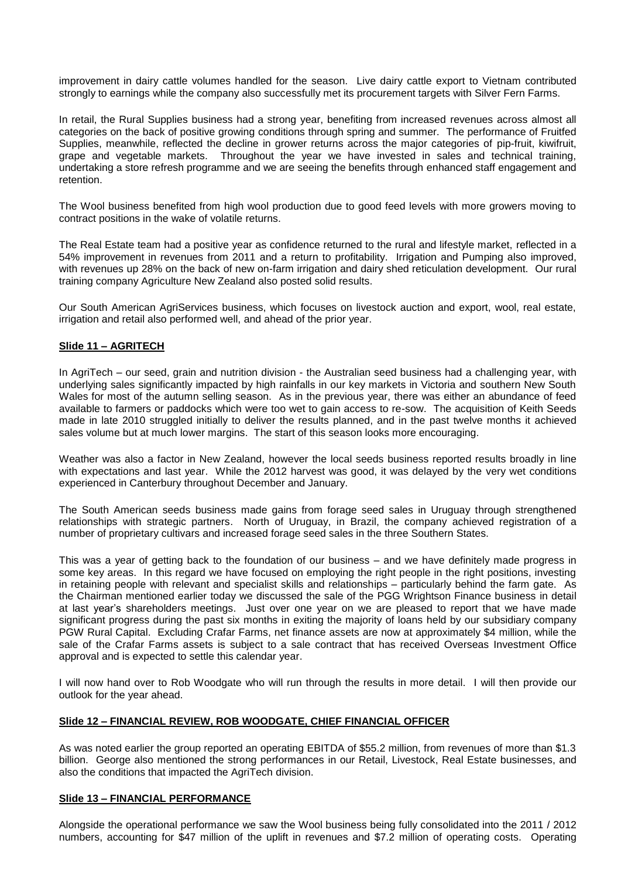improvement in dairy cattle volumes handled for the season. Live dairy cattle export to Vietnam contributed strongly to earnings while the company also successfully met its procurement targets with Silver Fern Farms.

In retail, the Rural Supplies business had a strong year, benefiting from increased revenues across almost all categories on the back of positive growing conditions through spring and summer. The performance of Fruitfed Supplies, meanwhile, reflected the decline in grower returns across the major categories of pip-fruit, kiwifruit, grape and vegetable markets. Throughout the year we have invested in sales and technical training, undertaking a store refresh programme and we are seeing the benefits through enhanced staff engagement and retention.

The Wool business benefited from high wool production due to good feed levels with more growers moving to contract positions in the wake of volatile returns.

The Real Estate team had a positive year as confidence returned to the rural and lifestyle market, reflected in a 54% improvement in revenues from 2011 and a return to profitability. Irrigation and Pumping also improved, with revenues up 28% on the back of new on-farm irrigation and dairy shed reticulation development. Our rural training company Agriculture New Zealand also posted solid results.

Our South American AgriServices business, which focuses on livestock auction and export, wool, real estate, irrigation and retail also performed well, and ahead of the prior year.

#### **Slide 11 – AGRITECH**

In AgriTech – our seed, grain and nutrition division - the Australian seed business had a challenging year, with underlying sales significantly impacted by high rainfalls in our key markets in Victoria and southern New South Wales for most of the autumn selling season. As in the previous year, there was either an abundance of feed available to farmers or paddocks which were too wet to gain access to re-sow. The acquisition of Keith Seeds made in late 2010 struggled initially to deliver the results planned, and in the past twelve months it achieved sales volume but at much lower margins. The start of this season looks more encouraging.

Weather was also a factor in New Zealand, however the local seeds business reported results broadly in line with expectations and last year. While the 2012 harvest was good, it was delayed by the very wet conditions experienced in Canterbury throughout December and January.

The South American seeds business made gains from forage seed sales in Uruguay through strengthened relationships with strategic partners. North of Uruguay, in Brazil, the company achieved registration of a number of proprietary cultivars and increased forage seed sales in the three Southern States.

This was a year of getting back to the foundation of our business – and we have definitely made progress in some key areas. In this regard we have focused on employing the right people in the right positions, investing in retaining people with relevant and specialist skills and relationships – particularly behind the farm gate. As the Chairman mentioned earlier today we discussed the sale of the PGG Wrightson Finance business in detail at last year's shareholders meetings. Just over one year on we are pleased to report that we have made significant progress during the past six months in exiting the majority of loans held by our subsidiary company PGW Rural Capital. Excluding Crafar Farms, net finance assets are now at approximately \$4 million, while the sale of the Crafar Farms assets is subject to a sale contract that has received Overseas Investment Office approval and is expected to settle this calendar year.

I will now hand over to Rob Woodgate who will run through the results in more detail. I will then provide our outlook for the year ahead.

#### **Slide 12 – FINANCIAL REVIEW, ROB WOODGATE, CHIEF FINANCIAL OFFICER**

As was noted earlier the group reported an operating EBITDA of \$55.2 million, from revenues of more than \$1.3 billion. George also mentioned the strong performances in our Retail, Livestock, Real Estate businesses, and also the conditions that impacted the AgriTech division.

#### **Slide 13 – FINANCIAL PERFORMANCE**

Alongside the operational performance we saw the Wool business being fully consolidated into the 2011 / 2012 numbers, accounting for \$47 million of the uplift in revenues and \$7.2 million of operating costs. Operating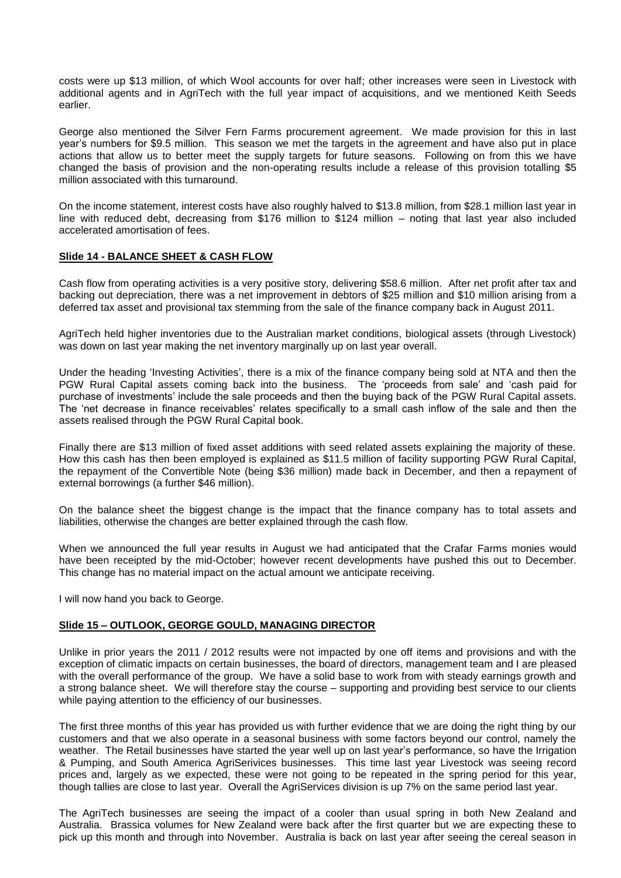costs were up \$13 million, of which Wool accounts for over half; other increases were seen in Livestock with additional agents and in AgriTech with the full year impact of acquisitions, and we mentioned Keith Seeds earlier.

George also mentioned the Silver Fern Farms procurement agreement. We made provision for this in last year's numbers for \$9.5 million. This season we met the targets in the agreement and have also put in place actions that allow us to better meet the supply targets for future seasons. Following on from this we have changed the basis of provision and the non-operating results include a release of this provision totalling \$5 million associated with this turnaround.

On the income statement, interest costs have also roughly halved to \$13.8 million, from \$28.1 million last year in line with reduced debt, decreasing from \$176 million to \$124 million – noting that last year also included accelerated amortisation of fees.

## **Slide 14 - BALANCE SHEET & CASH FLOW**

Cash flow from operating activities is a very positive story, delivering \$58.6 million. After net profit after tax and backing out depreciation, there was a net improvement in debtors of \$25 million and \$10 million arising from a deferred tax asset and provisional tax stemming from the sale of the finance company back in August 2011.

AgriTech held higher inventories due to the Australian market conditions, biological assets (through Livestock) was down on last year making the net inventory marginally up on last year overall.

Under the heading 'Investing Activities', there is a mix of the finance company being sold at NTA and then the PGW Rural Capital assets coming back into the business. The 'proceeds from sale' and 'cash paid for purchase of investments' include the sale proceeds and then the buying back of the PGW Rural Capital assets. The 'net decrease in finance receivables' relates specifically to a small cash inflow of the sale and then the assets realised through the PGW Rural Capital book.

Finally there are \$13 million of fixed asset additions with seed related assets explaining the majority of these. How this cash has then been employed is explained as \$11.5 million of facility supporting PGW Rural Capital, the repayment of the Convertible Note (being \$36 million) made back in December, and then a repayment of external borrowings (a further \$46 million).

On the balance sheet the biggest change is the impact that the finance company has to total assets and liabilities, otherwise the changes are better explained through the cash flow.

When we announced the full year results in August we had anticipated that the Crafar Farms monies would have been receipted by the mid-October; however recent developments have pushed this out to December. This change has no material impact on the actual amount we anticipate receiving.

I will now hand you back to George.

#### **Slide 15 – OUTLOOK, GEORGE GOULD, MANAGING DIRECTOR**

Unlike in prior years the 2011 / 2012 results were not impacted by one off items and provisions and with the exception of climatic impacts on certain businesses, the board of directors, management team and I are pleased with the overall performance of the group. We have a solid base to work from with steady earnings growth and a strong balance sheet. We will therefore stay the course – supporting and providing best service to our clients while paying attention to the efficiency of our businesses.

The first three months of this year has provided us with further evidence that we are doing the right thing by our customers and that we also operate in a seasonal business with some factors beyond our control, namely the weather. The Retail businesses have started the year well up on last year's performance, so have the Irrigation & Pumping, and South America AgriSerivices businesses. This time last year Livestock was seeing record prices and, largely as we expected, these were not going to be repeated in the spring period for this year, though tallies are close to last year. Overall the AgriServices division is up 7% on the same period last year.

The AgriTech businesses are seeing the impact of a cooler than usual spring in both New Zealand and Australia. Brassica volumes for New Zealand were back after the first quarter but we are expecting these to pick up this month and through into November. Australia is back on last year after seeing the cereal season in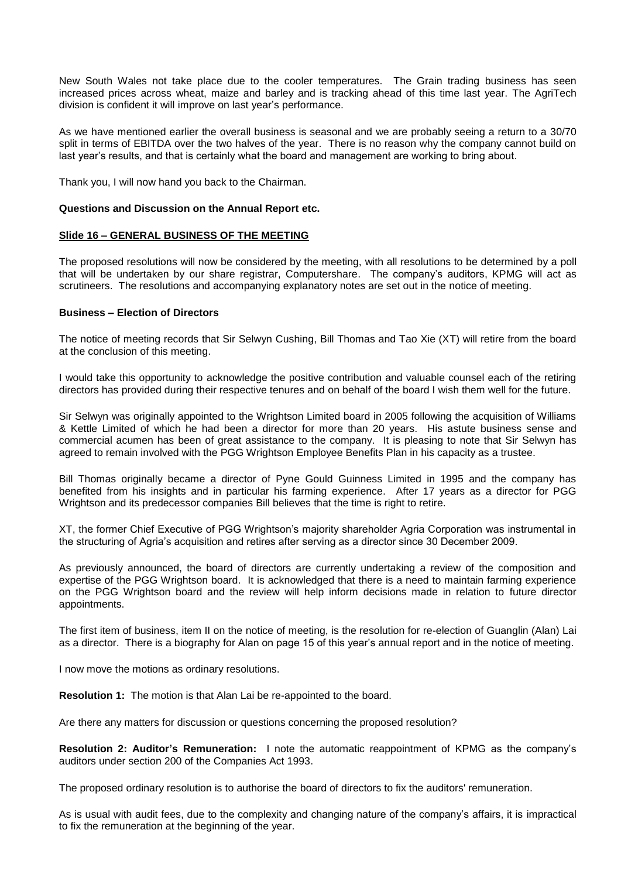New South Wales not take place due to the cooler temperatures. The Grain trading business has seen increased prices across wheat, maize and barley and is tracking ahead of this time last year. The AgriTech division is confident it will improve on last year's performance.

As we have mentioned earlier the overall business is seasonal and we are probably seeing a return to a 30/70 split in terms of EBITDA over the two halves of the year. There is no reason why the company cannot build on last year's results, and that is certainly what the board and management are working to bring about.

Thank you, I will now hand you back to the Chairman.

#### **Questions and Discussion on the Annual Report etc.**

#### **Slide 16 – GENERAL BUSINESS OF THE MEETING**

The proposed resolutions will now be considered by the meeting, with all resolutions to be determined by a poll that will be undertaken by our share registrar, Computershare. The company's auditors, KPMG will act as scrutineers. The resolutions and accompanying explanatory notes are set out in the notice of meeting.

#### **Business – Election of Directors**

The notice of meeting records that Sir Selwyn Cushing, Bill Thomas and Tao Xie (XT) will retire from the board at the conclusion of this meeting.

I would take this opportunity to acknowledge the positive contribution and valuable counsel each of the retiring directors has provided during their respective tenures and on behalf of the board I wish them well for the future.

Sir Selwyn was originally appointed to the Wrightson Limited board in 2005 following the acquisition of Williams & Kettle Limited of which he had been a director for more than 20 years. His astute business sense and commercial acumen has been of great assistance to the company. It is pleasing to note that Sir Selwyn has agreed to remain involved with the PGG Wrightson Employee Benefits Plan in his capacity as a trustee.

Bill Thomas originally became a director of Pyne Gould Guinness Limited in 1995 and the company has benefited from his insights and in particular his farming experience. After 17 years as a director for PGG Wrightson and its predecessor companies Bill believes that the time is right to retire.

XT, the former Chief Executive of PGG Wrightson's majority shareholder Agria Corporation was instrumental in the structuring of Agria's acquisition and retires after serving as a director since 30 December 2009.

As previously announced, the board of directors are currently undertaking a review of the composition and expertise of the PGG Wrightson board. It is acknowledged that there is a need to maintain farming experience on the PGG Wrightson board and the review will help inform decisions made in relation to future director appointments.

The first item of business, item II on the notice of meeting, is the resolution for re-election of Guanglin (Alan) Lai as a director. There is a biography for Alan on page 15 of this year's annual report and in the notice of meeting.

I now move the motions as ordinary resolutions.

**Resolution 1:** The motion is that Alan Lai be re-appointed to the board.

Are there any matters for discussion or questions concerning the proposed resolution?

**Resolution 2: Auditor's Remuneration:** I note the automatic reappointment of KPMG as the company's auditors under section 200 of the Companies Act 1993.

The proposed ordinary resolution is to authorise the board of directors to fix the auditors' remuneration.

As is usual with audit fees, due to the complexity and changing nature of the company's affairs, it is impractical to fix the remuneration at the beginning of the year.